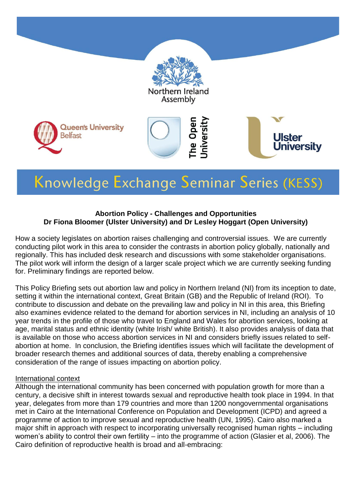

# Knowledge Exchange Seminar Series (KESS)

#### **Abortion Policy - Challenges and Opportunities Dr Fiona Bloomer (Ulster University) and Dr Lesley Hoggart (Open University)**

How a society legislates on abortion raises challenging and controversial issues. We are currently conducting pilot work in this area to consider the contrasts in abortion policy globally, nationally and regionally. This has included desk research and discussions with some stakeholder organisations. The pilot work will inform the design of a larger scale project which we are currently seeking funding for. Preliminary findings are reported below.

This Policy Briefing sets out abortion law and policy in Northern Ireland (NI) from its inception to date, setting it within the international context, Great Britain (GB) and the Republic of Ireland (ROI). To contribute to discussion and debate on the prevailing law and policy in NI in this area, this Briefing also examines evidence related to the demand for abortion services in NI, including an analysis of 10 year trends in the profile of those who travel to England and Wales for abortion services, looking at age, marital status and ethnic identity (white Irish/ white British). It also provides analysis of data that is available on those who access abortion services in NI and considers briefly issues related to selfabortion at home. In conclusion, the Briefing identifies issues which will facilitate the development of broader research themes and additional sources of data, thereby enabling a comprehensive consideration of the range of issues impacting on abortion policy.

#### International context

Although the international community has been concerned with population growth for more than a century, a decisive shift in interest towards sexual and reproductive health took place in 1994. In that year, delegates from more than 179 countries and more than 1200 nongovernmental organisations met in Cairo at the International Conference on Population and Development (ICPD) and agreed a programme of action to improve sexual and reproductive health (UN, 1995). Cairo also marked a major shift in approach with respect to incorporating universally recognised human rights – including women's ability to control their own fertility – into the programme of action (Glasier et al, 2006). The Cairo definition of reproductive health is broad and all-embracing: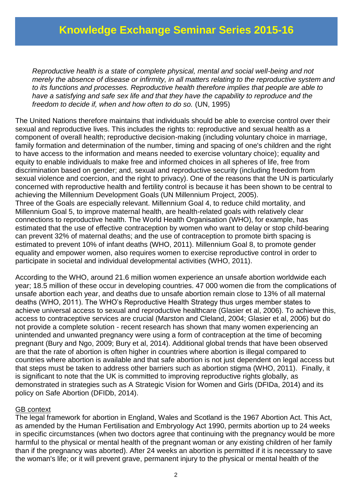*Reproductive health is a state of complete physical, mental and social well-being and not merely the absence of disease or infirmity, in all matters relating to the reproductive system and to its functions and processes. Reproductive health therefore implies that people are able to have a satisfying and safe sex life and that they have the capability to reproduce and the freedom to decide if, when and how often to do so.* (UN, 1995)

The United Nations therefore maintains that individuals should be able to exercise control over their sexual and reproductive lives. This includes the rights to: reproductive and sexual health as a component of overall health; reproductive decision-making (including voluntary choice in marriage, family formation and determination of the number, timing and spacing of one's children and the right to have access to the information and means needed to exercise voluntary choice); equality and equity to enable individuals to make free and informed choices in all spheres of life, free from discrimination based on gender; and, sexual and reproductive security (including freedom from sexual violence and coercion, and the right to privacy). One of the reasons that the UN is particularly concerned with reproductive health and fertility control is because it has been shown to be central to achieving the Millennium Development Goals (UN Millennium Project, 2005). Three of the Goals are especially relevant. Millennium Goal 4, to reduce child mortality, and Millennium Goal 5, to improve maternal health, are health-related goals with relatively clear connections to reproductive health. The World Health Organisation (WHO), for example, has estimated that the use of effective contraception by women who want to delay or stop child-bearing can prevent 32% of maternal deaths; and the use of contraception to promote birth spacing is estimated to prevent 10% of infant deaths (WHO, 2011). Millennium Goal 8, to promote gender equality and empower women, also requires women to exercise reproductive control in order to participate in societal and individual developmental activities (WHO, 2011).

According to the WHO, around 21.6 million women experience an unsafe abortion worldwide each year; 18.5 million of these occur in developing countries. 47 000 women die from the complications of unsafe abortion each year, and deaths due to unsafe abortion remain close to 13% of all maternal deaths (WHO, 2011). The WHO's Reproductive Health Strategy thus urges member states to achieve universal access to sexual and reproductive healthcare (Glasier et al, 2006). To achieve this, access to contraceptive services are crucial (Marston and Cleland, 2004; Glasier et al, 2006) but do not provide a complete solution - recent research has shown that many women experiencing an unintended and unwanted pregnancy were using a form of contraception at the time of becoming pregnant (Bury and Ngo, 2009; Bury et al, 2014). Additional global trends that have been observed are that the rate of abortion is often higher in countries where abortion is illegal compared to countries where abortion is available and that safe abortion is not just dependent on legal access but that steps must be taken to address other barriers such as abortion stigma (WHO, 2011). Finally, it is significant to note that the UK is committed to improving reproductive rights globally, as demonstrated in strategies such as A Strategic Vision for Women and Girls (DFIDa, 2014) and its policy on Safe Abortion (DFIDb, 2014).

#### GB context

The legal framework for abortion in England, Wales and Scotland is the 1967 Abortion Act. This Act, as amended by the Human Fertilisation and Embryology Act 1990, permits abortion up to 24 weeks in specific circumstances (when two doctors agree that continuing with the pregnancy would be more harmful to the physical or mental health of the pregnant woman or any existing children of her family than if the pregnancy was aborted). After 24 weeks an abortion is permitted if it is necessary to save the woman's life; or it will prevent grave, permanent injury to the physical or mental health of the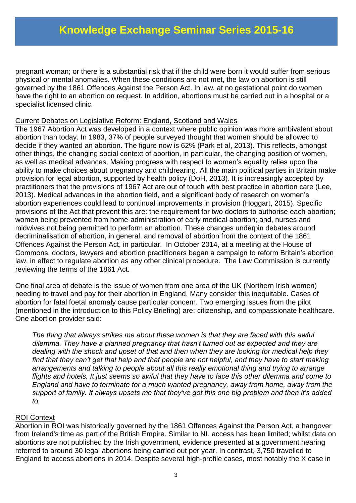pregnant woman; or there is a substantial risk that if the child were born it would suffer from serious physical or mental anomalies. When these conditions are not met, the law on abortion is still governed by the 1861 Offences Against the Person Act. In law, at no gestational point do women have the right to an abortion on request. In addition, abortions must be carried out in a hospital or a specialist licensed clinic.

#### Current Debates on Legislative Reform: England, Scotland and Wales

The 1967 Abortion Act was developed in a context where public opinion was more ambivalent about abortion than today. In 1983, 37% of people surveyed thought that women should be allowed to decide if they wanted an abortion. The figure now is 62% (Park et al, 2013). This reflects, amongst other things, the changing social context of abortion, in particular, the changing position of women, as well as medical advances. Making progress with respect to women's equality relies upon the ability to make choices about pregnancy and childrearing. All the main political parties in Britain make provision for legal abortion, supported by health policy (DoH, 2013). It is increasingly accepted by practitioners that the provisions of 1967 Act are out of touch with best practice in abortion care (Lee, 2013). Medical advances in the abortion field, and a significant body of research on women's abortion experiences could lead to continual improvements in provision (Hoggart, 2015). Specific provisions of the Act that prevent this are: the requirement for two doctors to authorise each abortion; women being prevented from home-administration of early medical abortion; and, nurses and midwives not being permitted to perform an abortion. These changes underpin debates around decriminalisation of abortion, in general, and removal of abortion from the context of the 1861 Offences Against the Person Act, in particular. In October 2014, at a meeting at the House of Commons, doctors, lawyers and abortion practitioners began a campaign to reform Britain's abortion law, in effect to regulate abortion as any other clinical procedure. The Law Commission is currently reviewing the terms of the 1861 Act.

One final area of debate is the issue of women from one area of the UK (Northern Irish women) needing to travel and pay for their abortion in England. Many consider this inequitable. Cases of abortion for fatal foetal anomaly cause particular concern. Two emerging issues from the pilot (mentioned in the introduction to this Policy Briefing) are: citizenship, and compassionate healthcare. One abortion provider said:

*The thing that always strikes me about these women is that they are faced with this awful dilemma. They have a planned pregnancy that hasn't turned out as expected and they are dealing with the shock and upset of that and then when they are looking for medical help they find that they can't get that help and that people are not helpful, and they have to start making arrangements and talking to people about all this really emotional thing and trying to arrange flights and hotels. It just seems so awful that they have to face this other dilemma and come to England and have to terminate for a much wanted pregnancy, away from home, away from the support of family. It always upsets me that they've got this one big problem and then it's added to.* 

#### ROI Context

Abortion in ROI was historically governed by the 1861 Offences Against the Person Act, a hangover from Ireland's time as part of the British Empire. Similar to NI, access has been limited; whilst data on abortions are not published by the Irish government, evidence presented at a government hearing referred to around 30 legal abortions being carried out per year. In contrast, 3,750 travelled to England to access abortions in 2014. Despite several high-profile cases, most notably the X case in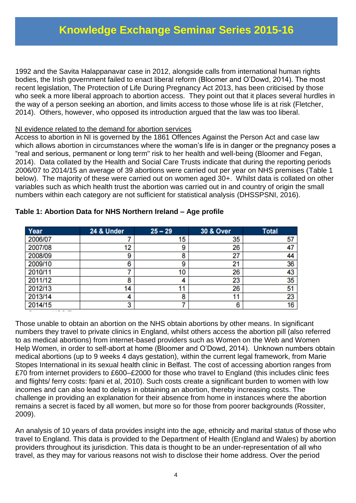1992 and the Savita Halappanavar case in 2012, alongside calls from international human rights bodies, the Irish government failed to enact liberal reform (Bloomer and O'Dowd, 2014). The most recent legislation, The Protection of Life During Pregnancy Act 2013, has been criticised by those who seek a more liberal approach to abortion access. They point out that it places several hurdles in the way of a person seeking an abortion, and limits access to those whose life is at risk (Fletcher, 2014). Others, however, who opposed its introduction argued that the law was too liberal.

#### NI evidence related to the demand for abortion services

Access to abortion in NI is governed by the 1861 Offences Against the Person Act and case law which allows abortion in circumstances where the woman's life is in danger or the pregnancy poses a "real and serious, permanent or long term" risk to her health and well-being (Bloomer and Fegan, 2014). Data collated by the Health and Social Care Trusts indicate that during the reporting periods 2006/07 to 2014/15 an average of 39 abortions were carried out per year on NHS premises (Table 1 below). The majority of these were carried out on women aged 30+. Whilst data is collated on other variables such as which health trust the abortion was carried out in and country of origin the small numbers within each category are not sufficient for statistical analysis (DHSSPSNI, 2016).

| Year    | 24 & Under | $25 - 29$ | <b>30 &amp; Over</b> | <b>Total</b> |
|---------|------------|-----------|----------------------|--------------|
| 2006/07 |            | 15        | 35                   | 57           |
| 2007/08 | 12         | 9         | 26                   | 47           |
| 2008/09 | 9          | 8         | 27                   | 44           |
| 2009/10 | 6          | g         | 21                   | 36           |
| 2010/11 |            | 10        | 26                   | 43           |
| 2011/12 | 8          |           | 23                   | 35           |
| 2012/13 | 14         |           | 26                   | 51           |
| 2013/14 | 4          | 8         | 11                   | 23           |
| 2014/15 | 3          |           | 6                    | 16           |

#### **Table 1: Abortion Data for NHS Northern Ireland – Age profile**

Those unable to obtain an abortion on the NHS obtain abortions by other means. In significant numbers they travel to private clinics in England, whilst others access the abortion pill (also referred to as medical abortions) from internet-based providers such as Women on the Web and Women Help Women, in order to self-abort at home (Bloomer and O'Dowd, 2014). Unknown numbers obtain medical abortions (up to 9 weeks 4 days gestation), within the current legal framework, from Marie Stopes International in its sexual health clinic in Belfast. The cost of accessing abortion ranges from £70 from internet providers to £600–£2000 for those who travel to England (this includes clinic fees and flights/ ferry costs: fpani et al, 2010). Such costs create a significant burden to women with low incomes and can also lead to delays in obtaining an abortion, thereby increasing costs. The challenge in providing an explanation for their absence from home in instances where the abortion remains a secret is faced by all women, but more so for those from poorer backgrounds (Rossiter, 2009).

An analysis of 10 years of data provides insight into the age, ethnicity and marital status of those who travel to England. This data is provided to the Department of Health (England and Wales) by abortion providers throughout its jurisdiction. This data is thought to be an under-representation of all who travel, as they may for various reasons not wish to disclose their home address. Over the period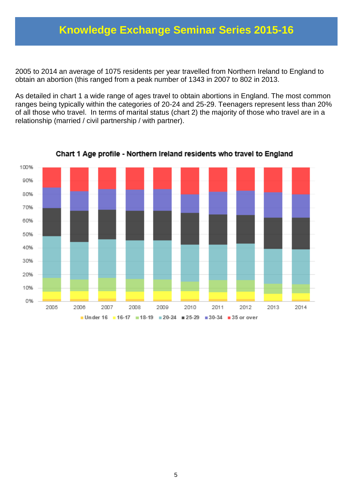2005 to 2014 an average of 1075 residents per year travelled from Northern Ireland to England to obtain an abortion (this ranged from a peak number of 1343 in 2007 to 802 in 2013.

As detailed in chart 1 a wide range of ages travel to obtain abortions in England. The most common ranges being typically within the categories of 20-24 and 25-29. Teenagers represent less than 20% of all those who travel. In terms of marital status (chart 2) the majority of those who travel are in a relationship (married / civil partnership / with partner).



Chart 1 Age profile - Northern Ireland residents who travel to England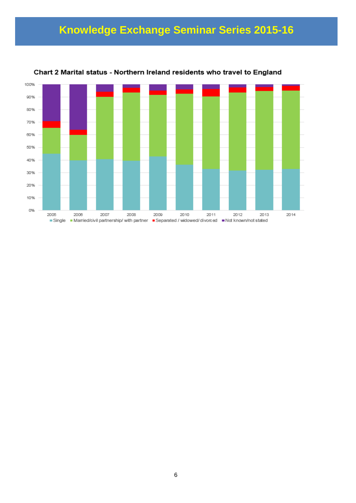

Chart 2 Marital status - Northern Ireland residents who travel to England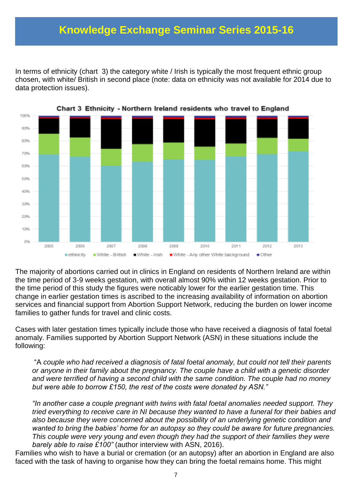In terms of ethnicity (chart 3) the category white / Irish is typically the most frequent ethnic group chosen, with white/ British in second place (note: data on ethnicity was not available for 2014 due to data protection issues).



Chart 3 Ethnicity - Northern Ireland residents who travel to England

The majority of abortions carried out in clinics in England on residents of Northern Ireland are within the time period of 3-9 weeks gestation, with overall almost 90% within 12 weeks gestation. Prior to the time period of this study the figures were noticably lower for the earlier gestation time. This change in earlier gestation times is ascribed to the increasing availability of information on abortion services and financial support from Abortion Support Network, reducing the burden on lower income families to gather funds for travel and clinic costs.

Cases with later gestation times typically include those who have received a diagnosis of fatal foetal anomaly. Families supported by Abortion Support Network (ASN) in these situations include the following:

"A *couple who had received a diagnosis of fatal foetal anomaly, but could not tell their parents or anyone in their family about the pregnancy. The couple have a child with a genetic disorder and were terrified of having a second child with the same condition. The couple had no money but were able to borrow £150, the rest of the costs were donated by ASN."* 

*"In another case a couple pregnant with twins with fatal foetal anomalies needed support. They tried everything to receive care in NI because they wanted to have a funeral for their babies and also because they were concerned about the possibility of an underlying genetic condition and wanted to bring the babies' home for an autopsy so they could be aware for future pregnancies. This couple were very young and even though they had the support of their families they were barely able to raise £100"* (author interview with ASN, 2016).

Families who wish to have a burial or cremation (or an autopsy) after an abortion in England are also faced with the task of having to organise how they can bring the foetal remains home. This might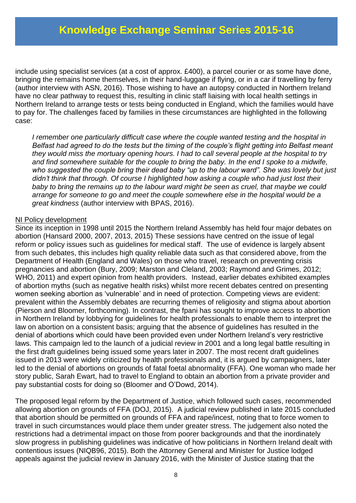include using specialist services (at a cost of approx. £400), a parcel courier or as some have done, bringing the remains home themselves, in their hand-luggage if flying, or in a car if travelling by ferry (author interview with ASN, 2016). Those wishing to have an autopsy conducted in Northern Ireland have no clear pathway to request this, resulting in clinic staff liaising with local health settings in Northern Ireland to arrange tests or tests being conducted in England, which the families would have to pay for. The challenges faced by families in these circumstances are highlighted in the following case:

*I remember one particularly difficult case where the couple wanted testing and the hospital in Belfast had agreed to do the tests but the timing of the couple's flight getting into Belfast meant they would miss the mortuary opening hours. I had to call several people at the hospital to try and find somewhere suitable for the couple to bring the baby. In the end I spoke to a midwife, who suggested the couple bring their dead baby "up to the labour ward". She was lovely but just didn't think that through. Of course I highlighted how asking a couple who had just lost their baby to bring the remains up to the labour ward might be seen as cruel, that maybe we could arrange for someone to go and meet the couple somewhere else in the hospital would be a great kindness* (author interview with BPAS, 2016).

#### NI Policy development

Since its inception in 1998 until 2015 the Northern Ireland Assembly has held four major debates on abortion (Hansard 2000, 2007, 2013, 2015) These sessions have centred on the issue of legal reform or policy issues such as guidelines for medical staff. The use of evidence is largely absent from such debates, this includes high quality reliable data such as that considered above, from the Department of Health (England and Wales) on those who travel, research on preventing crisis pregnancies and abortion (Bury, 2009; Marston and Cleland, 2003; Raymond and Grimes, 2012; WHO, 2011) and expert opinion from health providers. Instead, earlier debates exhibited examples of abortion myths (such as negative health risks) whilst more recent debates centred on presenting women seeking abortion as 'vulnerable' and in need of protection. Competing views are evident: prevalent within the Assembly debates are recurring themes of religiosity and stigma about abortion (Pierson and Bloomer, forthcoming). In contrast, the fpani has sought to improve access to abortion in Northern Ireland by lobbying for guidelines for health professionals to enable them to interpret the law on abortion on a consistent basis; arguing that the absence of guidelines has resulted in the denial of abortions which could have been provided even under Northern Ireland's very restrictive laws. This campaign led to the launch of a judicial review in 2001 and a long legal battle resulting in the first draft guidelines being issued some years later in 2007. The most recent draft guidelines issued in 2013 were widely criticized by health professionals and, it is argued by campaigners, later led to the denial of abortions on grounds of fatal foetal abnormality (FFA). One woman who made her story public, Sarah Ewart, had to travel to England to obtain an abortion from a private provider and pay substantial costs for doing so (Bloomer and O'Dowd, 2014).

The proposed legal reform by the Department of Justice, which followed such cases, recommended allowing abortion on grounds of FFA (DOJ, 2015). A judicial review published in late 2015 concluded that abortion should be permitted on grounds of FFA and rape/incest, noting that to force women to travel in such circumstances would place them under greater stress. The judgement also noted the restrictions had a detrimental impact on those from poorer backgrounds and that the inordinately slow progress in publishing guidelines was indicative of how politicians in Northern Ireland dealt with contentious issues (NIQB96, 2015). Both the Attorney General and Minister for Justice lodged appeals against the judicial review in January 2016, with the Minister of Justice stating that the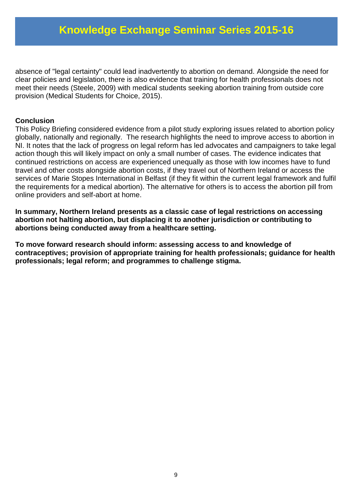absence of "legal certainty" could lead inadvertently to abortion on demand. Alongside the need for clear policies and legislation, there is also evidence that training for health professionals does not meet their needs (Steele, 2009) with medical students seeking abortion training from outside core provision (Medical Students for Choice, 2015).

#### **Conclusion**

This Policy Briefing considered evidence from a pilot study exploring issues related to abortion policy globally, nationally and regionally. The research highlights the need to improve access to abortion in NI. It notes that the lack of progress on legal reform has led advocates and campaigners to take legal action though this will likely impact on only a small number of cases. The evidence indicates that continued restrictions on access are experienced unequally as those with low incomes have to fund travel and other costs alongside abortion costs, if they travel out of Northern Ireland or access the services of Marie Stopes International in Belfast (if they fit within the current legal framework and fulfil the requirements for a medical abortion). The alternative for others is to access the abortion pill from online providers and self-abort at home.

**In summary, Northern Ireland presents as a classic case of legal restrictions on accessing abortion not halting abortion, but displacing it to another jurisdiction or contributing to abortions being conducted away from a healthcare setting.** 

**To move forward research should inform: assessing access to and knowledge of contraceptives; provision of appropriate training for health professionals; guidance for health professionals; legal reform; and programmes to challenge stigma.**